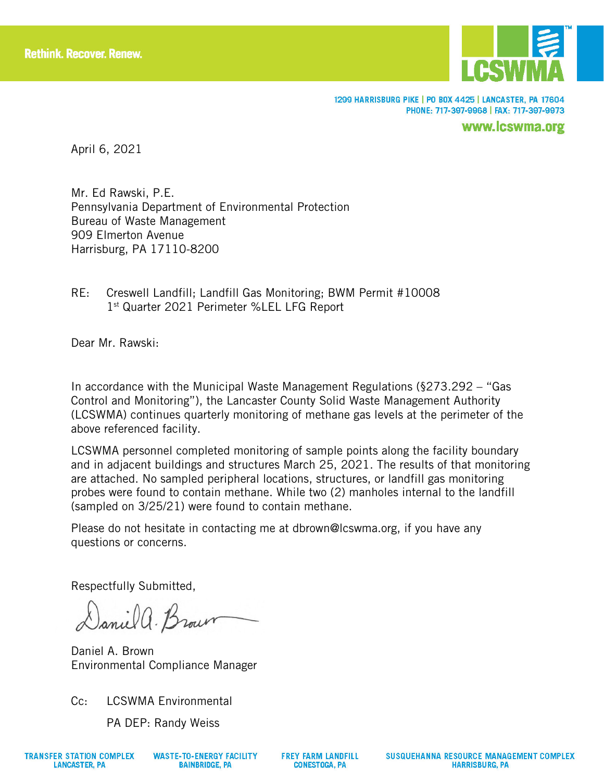

1299 HARRISBURG PIKE | PO BOX 4425 | LANCASTER, PA 17604 PHONE: 717-397-9968 | FAX: 717-397-9973

www.lcswma.org

April 6, 2021

Mr. Ed Rawski, P.E. Pennsylvania Department of Environmental Protection Bureau of Waste Management 909 Elmerton Avenue Harrisburg, PA 17110-8200

RE: Creswell Landfill; Landfill Gas Monitoring; BWM Permit #10008 1st Quarter 2021 Perimeter %LEL LFG Report

Dear Mr. Rawski:

In accordance with the Municipal Waste Management Regulations (§273.292 – "Gas Control and Monitoring"), the Lancaster County Solid Waste Management Authority (LCSWMA) continues quarterly monitoring of methane gas levels at the perimeter of the above referenced facility.

LCSWMA personnel completed monitoring of sample points along the facility boundary and in adjacent buildings and structures March 25, 2021. The results of that monitoring are attached. No sampled peripheral locations, structures, or landfill gas monitoring probes were found to contain methane. While two (2) manholes internal to the landfill (sampled on 3/25/21) were found to contain methane.

Please do not hesitate in contacting me at dbrown@lcswma.org, if you have any questions or concerns.

Respectfully Submitted,

Daniel a. Brown

Daniel A. Brown Environmental Compliance Manager

Cc: LCSWMA Environmental

PA DEP: Randy Weiss

**WASTE-TO-ENERGY FACILITY BAINBRIDGE, PA**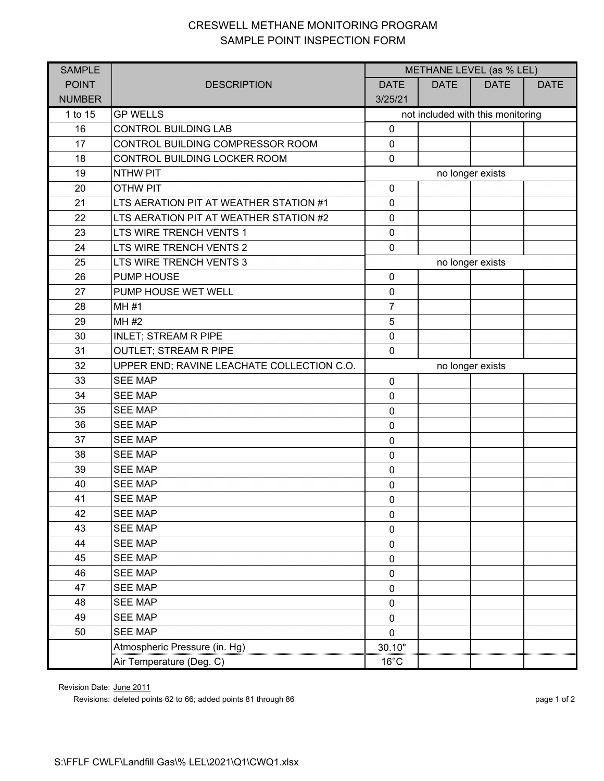## CRESWELL METHANE MONITORING PROGRAM SAMPLE POINT INSPECTION FORM

| <b>SAMPLE</b> |                                            | METHANE LEVEL (as % LEL)          |             |             |             |  |
|---------------|--------------------------------------------|-----------------------------------|-------------|-------------|-------------|--|
| <b>POINT</b>  | <b>DESCRIPTION</b>                         | <b>DATE</b>                       | <b>DATE</b> | <b>DATE</b> | <b>DATE</b> |  |
| <b>NUMBER</b> |                                            | 3/25/21                           |             |             |             |  |
| 1 to 15       | <b>GP WELLS</b>                            | not included with this monitoring |             |             |             |  |
| 16            | <b>CONTROL BUILDING LAB</b>                | $\mathbf 0$                       |             |             |             |  |
| 17            | CONTROL BUILDING COMPRESSOR ROOM           | $\pmb{0}$                         |             |             |             |  |
| 18            | CONTROL BUILDING LOCKER ROOM               | $\mathbf 0$                       |             |             |             |  |
| 19            | <b>NTHW PIT</b>                            | no longer exists                  |             |             |             |  |
| 20            | <b>OTHW PIT</b>                            | $\mathbf 0$                       |             |             |             |  |
| 21            | LTS AERATION PIT AT WEATHER STATION #1     | $\pmb{0}$                         |             |             |             |  |
| 22            | LTS AERATION PIT AT WEATHER STATION #2     | $\mathbf 0$                       |             |             |             |  |
| 23            | LTS WIRE TRENCH VENTS 1                    | $\mathbf 0$                       |             |             |             |  |
| 24            | LTS WIRE TRENCH VENTS 2                    | $\mathbf 0$                       |             |             |             |  |
| 25            | LTS WIRE TRENCH VENTS 3                    | no longer exists                  |             |             |             |  |
| 26            | <b>PUMP HOUSE</b>                          | $\pmb{0}$                         |             |             |             |  |
| 27            | PUMP HOUSE WET WELL                        | $\pmb{0}$                         |             |             |             |  |
| 28            | <b>MH#1</b>                                | $\overline{7}$                    |             |             |             |  |
| 29            | MH #2                                      | 5                                 |             |             |             |  |
| 30            | <b>INLET; STREAM R PIPE</b>                | $\mathbf 0$                       |             |             |             |  |
| 31            | <b>OUTLET; STREAM R PIPE</b>               | $\mathbf 0$                       |             |             |             |  |
| 32            | UPPER END; RAVINE LEACHATE COLLECTION C.O. | no longer exists                  |             |             |             |  |
| 33            | <b>SEE MAP</b>                             | $\mathbf 0$                       |             |             |             |  |
| 34            | <b>SEE MAP</b>                             | $\mathbf 0$                       |             |             |             |  |
| 35            | <b>SEE MAP</b>                             | $\mathbf 0$                       |             |             |             |  |
| 36            | <b>SEE MAP</b>                             | $\mathbf 0$                       |             |             |             |  |
| 37            | <b>SEE MAP</b>                             | $\pmb{0}$                         |             |             |             |  |
| 38            | <b>SEE MAP</b>                             | $\mathbf 0$                       |             |             |             |  |
| 39            | <b>SEE MAP</b>                             | $\mathbf 0$                       |             |             |             |  |
| 40            | <b>SEE MAP</b>                             | $\pmb{0}$                         |             |             |             |  |
| 41            | <b>SEE MAP</b>                             | $\mathbf 0$                       |             |             |             |  |
| 42            | <b>SEE MAP</b>                             | $\mathbf 0$                       |             |             |             |  |
| 43            | <b>SEE MAP</b>                             | $\mathbf 0$                       |             |             |             |  |
| 44            | <b>SEE MAP</b>                             | $\mathbf 0$                       |             |             |             |  |
| 45            | <b>SEE MAP</b>                             | $\mathbf 0$                       |             |             |             |  |
| 46            | <b>SEE MAP</b>                             | $\mathbf 0$                       |             |             |             |  |
| 47            | <b>SEE MAP</b>                             | $\mathbf 0$                       |             |             |             |  |
| 48            | <b>SEE MAP</b>                             | $\mathbf 0$                       |             |             |             |  |
| 49            | <b>SEE MAP</b>                             | $\mathbf 0$                       |             |             |             |  |
| 50            | <b>SEE MAP</b>                             | $\mathbf 0$                       |             |             |             |  |
|               | Atmospheric Pressure (in. Hg)              | 30.10"                            |             |             |             |  |
|               | Air Temperature (Deg. C)                   | $16^{\circ}$ C                    |             |             |             |  |

Revision Date: June 2011

Revisions: deleted points 62 to 66; added points 81 through 86 page 1 of 2